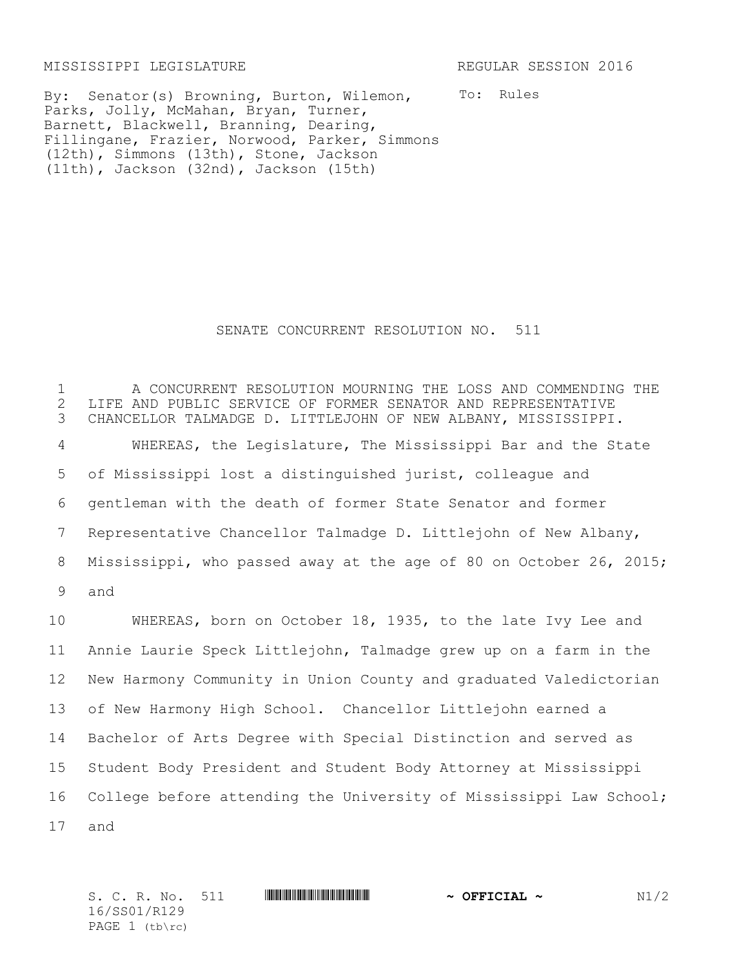MISSISSIPPI LEGISLATURE REGULAR SESSION 2016

To: Rules By: Senator(s) Browning, Burton, Wilemon, Parks, Jolly, McMahan, Bryan, Turner, Barnett, Blackwell, Branning, Dearing, Fillingane, Frazier, Norwood, Parker, Simmons (12th), Simmons (13th), Stone, Jackson (11th), Jackson (32nd), Jackson (15th)

## SENATE CONCURRENT RESOLUTION NO. 511

 A CONCURRENT RESOLUTION MOURNING THE LOSS AND COMMENDING THE 2 LIFE AND PUBLIC SERVICE OF FORMER SENATOR AND REPRESENTATIVE<br>3 CHANCELLOR TALMADGE D. LITTLEJOHN OF NEW ALBANY, MISSISSIPPI CHANCELLOR TALMADGE D. LITTLEJOHN OF NEW ALBANY, MISSISSIPPI. WHEREAS, the Legislature, The Mississippi Bar and the State of Mississippi lost a distinguished jurist, colleague and gentleman with the death of former State Senator and former Representative Chancellor Talmadge D. Littlejohn of New Albany, Mississippi, who passed away at the age of 80 on October 26, 2015; 9 and

 WHEREAS, born on October 18, 1935, to the late Ivy Lee and Annie Laurie Speck Littlejohn, Talmadge grew up on a farm in the New Harmony Community in Union County and graduated Valedictorian of New Harmony High School. Chancellor Littlejohn earned a Bachelor of Arts Degree with Special Distinction and served as Student Body President and Student Body Attorney at Mississippi College before attending the University of Mississippi Law School; 17 and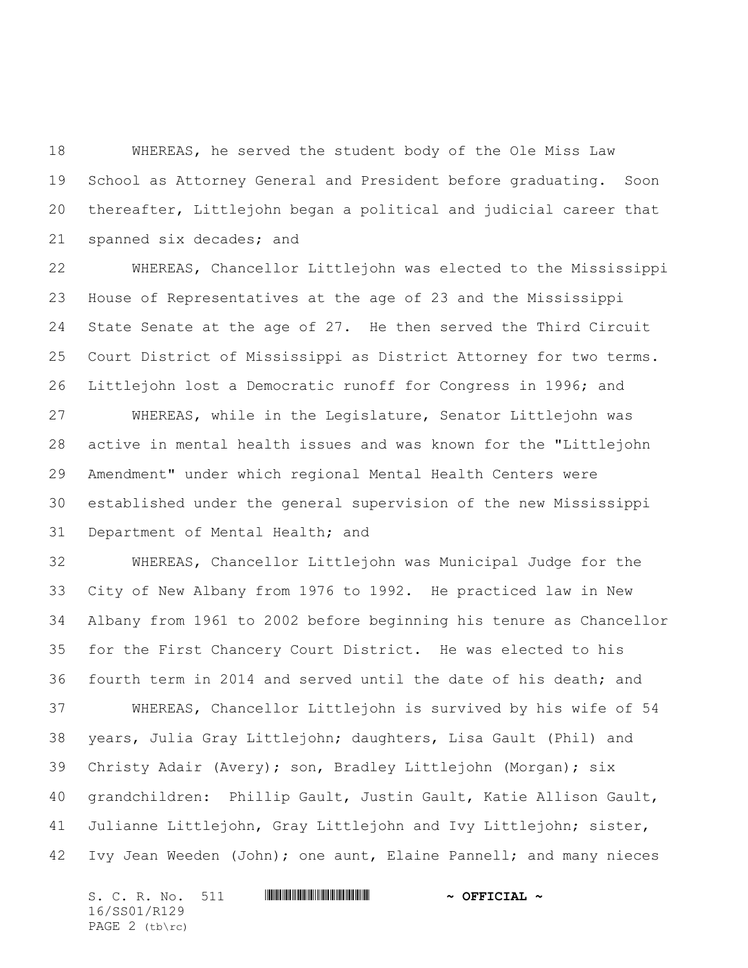WHEREAS, he served the student body of the Ole Miss Law School as Attorney General and President before graduating. Soon thereafter, Littlejohn began a political and judicial career that spanned six decades; and

 WHEREAS, Chancellor Littlejohn was elected to the Mississippi House of Representatives at the age of 23 and the Mississippi State Senate at the age of 27. He then served the Third Circuit Court District of Mississippi as District Attorney for two terms. Littlejohn lost a Democratic runoff for Congress in 1996; and

 WHEREAS, while in the Legislature, Senator Littlejohn was active in mental health issues and was known for the "Littlejohn Amendment" under which regional Mental Health Centers were established under the general supervision of the new Mississippi Department of Mental Health; and

 WHEREAS, Chancellor Littlejohn was Municipal Judge for the City of New Albany from 1976 to 1992. He practiced law in New Albany from 1961 to 2002 before beginning his tenure as Chancellor for the First Chancery Court District. He was elected to his fourth term in 2014 and served until the date of his death; and WHEREAS, Chancellor Littlejohn is survived by his wife of 54 years, Julia Gray Littlejohn; daughters, Lisa Gault (Phil) and Christy Adair (Avery); son, Bradley Littlejohn (Morgan); six grandchildren: Phillip Gault, Justin Gault, Katie Allison Gault, Julianne Littlejohn, Gray Littlejohn and Ivy Littlejohn; sister, Ivy Jean Weeden (John); one aunt, Elaine Pannell; and many nieces

S. C. R. No. 511 **WILLEVAL CONSERVERSE ASSESSED ~ OFFICIAL ~** 16/SS01/R129 PAGE 2 (tb\rc)